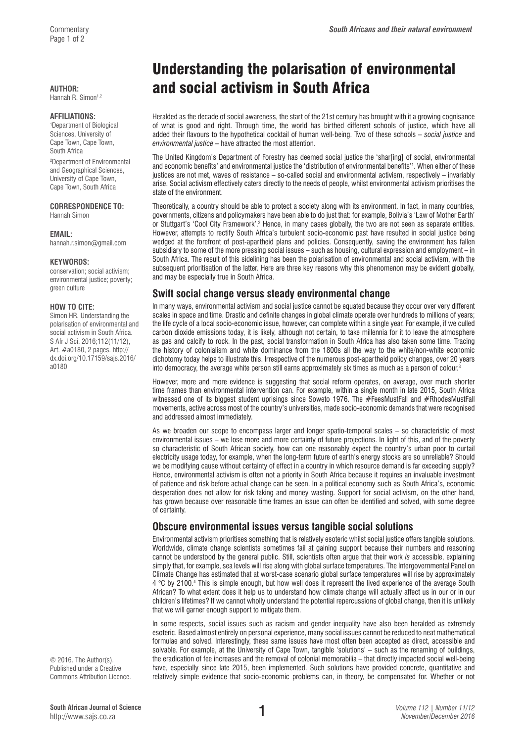Hannah R. Simon<sup>1,2</sup>

### **AFFILIATIONS:**

1 Department of Biological Sciences, University of Cape Town, Cape Town, South Africa

2 Department of Environmental and Geographical Sciences, University of Cape Town, Cape Town, South Africa

### **CORRESPONDENCE TO:**  Hannah Simon

**EMAIL:** 

[hannah.r.simon@gmail.com](mailto:hannah.r.simon@gmail.com)

### **KEYWORDS:**

conservation; social activism; environmental justice; poverty; green culture

### **HOW TO CITE:**

Simon HR. Understanding the polarisation of environmental and social activism in South Africa. S Afr J Sci. 2016;112(11/12), Art. #a0180, 2 pages. [http://](http://dx.doi.org/10.17159/sajs.2016/a0180) [dx.doi.org/10.17159/sajs.2016/](http://dx.doi.org/10.17159/sajs.2016/a0180) [a0180](http://dx.doi.org/10.17159/sajs.2016/a0180)

Commentary *South Africans and their natural environment*

# Understanding the polarisation of environmental AUTHOR: **and social activism in South Africa**

Heralded as the decade of social awareness, the start of the 21st century has brought with it a growing cognisance of what is good and right. Through time, the world has birthed different schools of justice, which have all added their flavours to the hypothetical cocktail of human well-being. Two of these schools – *social justice* and *environmental justice* – have attracted the most attention.

The United Kingdom's Department of Forestry has deemed social justice the 'shar[ing] of social, environmental and economic benefits' and environmental justice the 'distribution of environmental benefits'1 . When either of these justices are not met, waves of resistance – so-called social and environmental activism, respectively – invariably arise. Social activism effectively caters directly to the needs of people, whilst environmental activism prioritises the state of the environment.

Theoretically, a country should be able to protect a society along with its environment. In fact, in many countries, governments, citizens and policymakers have been able to do just that: for example, Bolivia's 'Law of Mother Earth' or Stuttgart's 'Cool City Framework'.<sup>2</sup> Hence, in many cases globally, the two are not seen as separate entities. However, attempts to rectify South Africa's turbulent socio-economic past have resulted in social justice being wedged at the forefront of post-apartheid plans and policies. Consequently, saving the environment has fallen subsidiary to some of the more pressing social issues – such as housing, cultural expression and employment – in South Africa. The result of this sidelining has been the polarisation of environmental and social activism, with the subsequent prioritisation of the latter. Here are three key reasons why this phenomenon may be evident globally, and may be especially true in South Africa.

## **Swift social change versus steady environmental change**

In many ways, environmental activism and social justice cannot be equated because they occur over very different scales in space and time. Drastic and definite changes in global climate operate over hundreds to millions of years; the life cycle of a local socio-economic issue, however, can complete within a single year. For example, if we culled carbon dioxide emissions today, it is likely, although not certain, to take millennia for it to leave the atmosphere as gas and calcify to rock. In the past, social transformation in South Africa has also taken some time. Tracing the history of colonialism and white dominance from the 1800s all the way to the white/non-white economic dichotomy today helps to illustrate this. Irrespective of the numerous post-apartheid policy changes, over 20 years into democracy, the average white person still earns approximately six times as much as a person of colour.<sup>3</sup>

However, more and more evidence is suggesting that social reform operates, on average, over much shorter time frames than environmental intervention can. For example, within a single month in late 2015, South Africa witnessed one of its biggest student uprisings since Soweto 1976. The #FeesMustFall and #RhodesMustFall movements, active across most of the country's universities, made socio-economic demands that were recognised and addressed almost immediately.

As we broaden our scope to encompass larger and longer spatio-temporal scales – so characteristic of most environmental issues – we lose more and more certainty of future projections. In light of this, and of the poverty so characteristic of South African society, how can one reasonably expect the country's urban poor to curtail electricity usage today, for example, when the long-term future of earth's energy stocks are so unreliable? Should we be modifying cause without certainty of effect in a country in which resource demand is far exceeding supply? Hence, environmental activism is often not a priority in South Africa because it requires an invaluable investment of patience and risk before actual change can be seen. In a political economy such as South Africa's, economic desperation does not allow for risk taking and money wasting. Support for social activism, on the other hand, has grown because over reasonable time frames an issue can often be identified and solved, with some degree of certainty.

# **Obscure environmental issues versus tangible social solutions**

Environmental activism prioritises something that is relatively esoteric whilst social justice offers tangible solutions. Worldwide, climate change scientists sometimes fail at gaining support because their numbers and reasoning cannot be understood by the general public. Still, scientists often argue that their work *is* accessible, explaining simply that, for example, sea levels will rise along with global surface temperatures. The Intergovernmental Panel on Climate Change has estimated that at worst-case scenario global surface temperatures will rise by approximately 4 °C by 2100.<sup>4</sup> This is simple enough, but how well does it represent the lived experience of the average South African? To what extent does it help us to understand how climate change will actually affect us in our or in our children's lifetimes? If we cannot wholly understand the potential repercussions of global change, then it is unlikely that we will garner enough support to mitigate them.

In some respects, social issues such as racism and gender inequality have also been heralded as extremely esoteric. Based almost entirely on personal experience, many social issues cannot be reduced to neat mathematical formulae and solved. Interestingly, these same issues have most often been accepted as direct, accessible and solvable. For example, at the University of Cape Town, tangible 'solutions' – such as the renaming of buildings, the eradication of fee increases and the removal of colonial memorabilia – that directly impacted social well-being have, especially since late 2015, been implemented. Such solutions have provided concrete, quantitative and relatively simple evidence that socio-economic problems can, in theory, be compensated for. Whether or not

© 2016. The Author(s). Published under a Creative Commons Attribution Licence.